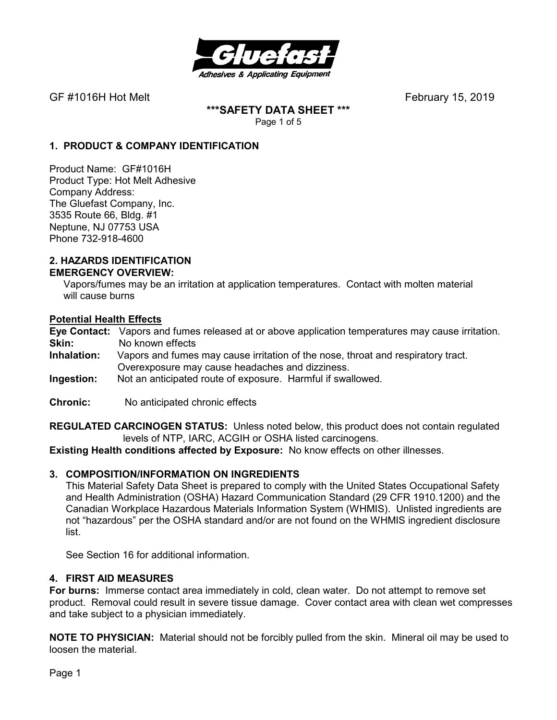

**\*\*\*SAFETY DATA SHEET \*\*\***  Page 1 of 5

## **1. PRODUCT & COMPANY IDENTIFICATION**

Product Name: GF#1016H Product Type: Hot Melt Adhesive Company Address: The Gluefast Company, Inc. 3535 Route 66, Bldg. #1 Neptune, NJ 07753 USA Phone 732-918-4600

#### **2. HAZARDS IDENTIFICATION EMERGENCY OVERVIEW:**

 Vapors/fumes may be an irritation at application temperatures. Contact with molten material will cause burns

### **Potential Health Effects**

**Eye Contact:** Vapors and fumes released at or above application temperatures may cause irritation. **Skin:** No known effects<br>**Inhalation:** Vapors and fumes

- Vapors and fumes may cause irritation of the nose, throat and respiratory tract. Overexposure may cause headaches and dizziness.
- **Ingestion:** Not an anticipated route of exposure. Harmful if swallowed.
- **Chronic:** No anticipated chronic effects

**REGULATED CARCINOGEN STATUS:** Unless noted below, this product does not contain regulated levels of NTP, IARC, ACGIH or OSHA listed carcinogens.

**Existing Health conditions affected by Exposure:** No know effects on other illnesses.

### **3. COMPOSITION/INFORMATION ON INGREDIENTS**

This Material Safety Data Sheet is prepared to comply with the United States Occupational Safety and Health Administration (OSHA) Hazard Communication Standard (29 CFR 1910.1200) and the Canadian Workplace Hazardous Materials Information System (WHMIS). Unlisted ingredients are not "hazardous" per the OSHA standard and/or are not found on the WHMIS ingredient disclosure list.

See Section 16 for additional information.

#### **4. FIRST AID MEASURES**

**For burns:** Immerse contact area immediately in cold, clean water. Do not attempt to remove set product. Removal could result in severe tissue damage. Cover contact area with clean wet compresses and take subject to a physician immediately.

**NOTE TO PHYSICIAN:** Material should not be forcibly pulled from the skin. Mineral oil may be used to loosen the material.

Page 1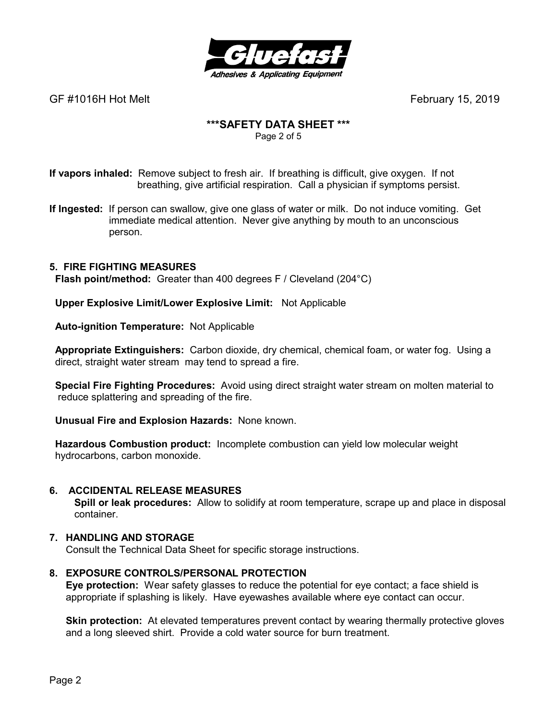

# **\*\*\*SAFETY DATA SHEET \*\*\***

Page 2 of 5

**If vapors inhaled:** Remove subject to fresh air. If breathing is difficult, give oxygen. If not breathing, give artificial respiration. Call a physician if symptoms persist.

**If Ingested:** If person can swallow, give one glass of water or milk. Do not induce vomiting. Get immediate medical attention. Never give anything by mouth to an unconscious person.

## **5. FIRE FIGHTING MEASURES**

 **Flash point/method:** Greater than 400 degrees F / Cleveland (204°C)

 **Upper Explosive Limit/Lower Explosive Limit:** Not Applicable

 **Auto-ignition Temperature:** Not Applicable

 **Appropriate Extinguishers:** Carbon dioxide, dry chemical, chemical foam, or water fog. Using a direct, straight water stream may tend to spread a fire.

 **Special Fire Fighting Procedures:** Avoid using direct straight water stream on molten material to reduce splattering and spreading of the fire.

 **Unusual Fire and Explosion Hazards:** None known.

 **Hazardous Combustion product:** Incomplete combustion can yield low molecular weight hydrocarbons, carbon monoxide.

### **6. ACCIDENTAL RELEASE MEASURES**

 **Spill or leak procedures:** Allow to solidify at room temperature, scrape up and place in disposal container.

### **7. HANDLING AND STORAGE**

Consult the Technical Data Sheet for specific storage instructions.

### **8. EXPOSURE CONTROLS/PERSONAL PROTECTION**

**Eye protection:** Wear safety glasses to reduce the potential for eye contact; a face shield is appropriate if splashing is likely. Have eyewashes available where eye contact can occur.

**Skin protection:** At elevated temperatures prevent contact by wearing thermally protective gloves and a long sleeved shirt. Provide a cold water source for burn treatment.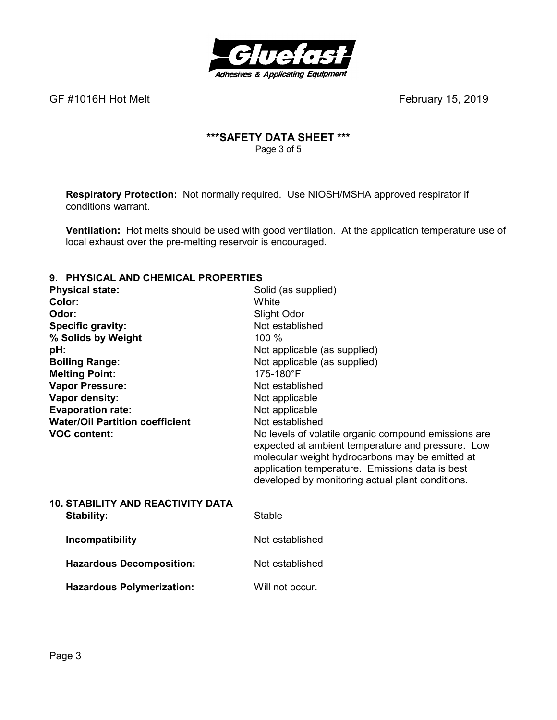

## **\*\*\*SAFETY DATA SHEET \*\*\***  Page 3 of 5

**Respiratory Protection:** Not normally required.Use NIOSH/MSHA approved respirator if conditions warrant.

**Ventilation:** Hot melts should be used with good ventilation. At the application temperature use of local exhaust over the pre-melting reservoir is encouraged.

## **9. PHYSICAL AND CHEMICAL PROPERTIES**

| <u>THI UIVAL AND VIILIMIVAL I INDI LINTILU</u> |                                                                                                                                                                                                                                                                     |
|------------------------------------------------|---------------------------------------------------------------------------------------------------------------------------------------------------------------------------------------------------------------------------------------------------------------------|
| <b>Physical state:</b>                         | Solid (as supplied)                                                                                                                                                                                                                                                 |
| Color:                                         | White                                                                                                                                                                                                                                                               |
| Odor:                                          | Slight Odor                                                                                                                                                                                                                                                         |
| <b>Specific gravity:</b>                       | Not established                                                                                                                                                                                                                                                     |
| % Solids by Weight                             | 100 %                                                                                                                                                                                                                                                               |
| pH:                                            | Not applicable (as supplied)                                                                                                                                                                                                                                        |
| <b>Boiling Range:</b>                          | Not applicable (as supplied)                                                                                                                                                                                                                                        |
| <b>Melting Point:</b>                          | 175-180°F                                                                                                                                                                                                                                                           |
| <b>Vapor Pressure:</b>                         | Not established                                                                                                                                                                                                                                                     |
| Vapor density:                                 | Not applicable                                                                                                                                                                                                                                                      |
| <b>Evaporation rate:</b>                       | Not applicable                                                                                                                                                                                                                                                      |
| <b>Water/Oil Partition coefficient</b>         | Not established                                                                                                                                                                                                                                                     |
| <b>VOC content:</b>                            | No levels of volatile organic compound emissions are<br>expected at ambient temperature and pressure. Low<br>molecular weight hydrocarbons may be emitted at<br>application temperature. Emissions data is best<br>developed by monitoring actual plant conditions. |
| <b>10. STABILITY AND REACTIVITY DATA</b>       |                                                                                                                                                                                                                                                                     |
| <b>Stability:</b>                              | Stable                                                                                                                                                                                                                                                              |
| Incompatibility                                | Not established                                                                                                                                                                                                                                                     |
| <b>Hazardous Decomposition:</b>                | Not established                                                                                                                                                                                                                                                     |
| <b>Hazardous Polymerization:</b>               | Will not occur.                                                                                                                                                                                                                                                     |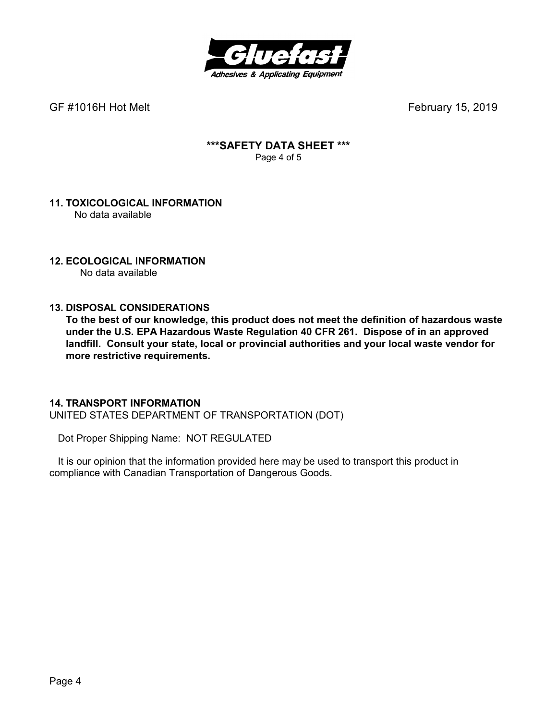

## **\*\*\*SAFETY DATA SHEET \*\*\***  Page 4 of 5

#### **11. TOXICOLOGICAL INFORMATION**  No data available

## **12. ECOLOGICAL INFORMATION**

No data available

## **13. DISPOSAL CONSIDERATIONS**

**To the best of our knowledge, this product does not meet the definition of hazardous waste under the U.S. EPA Hazardous Waste Regulation 40 CFR 261. Dispose of in an approved landfill. Consult your state, local or provincial authorities and your local waste vendor for more restrictive requirements.** 

### **14. TRANSPORT INFORMATION**

UNITED STATES DEPARTMENT OF TRANSPORTATION (DOT)

Dot Proper Shipping Name: NOT REGULATED

 It is our opinion that the information provided here may be used to transport this product in compliance with Canadian Transportation of Dangerous Goods.